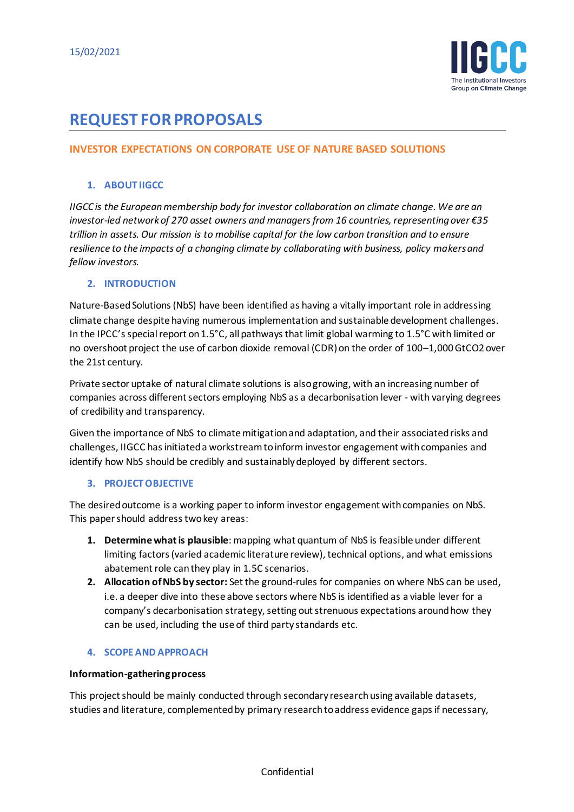

# **REQUEST FOR PROPOSALS**

# **INVESTOR EXPECTATIONS ON CORPORATE USE OF NATURE BASED SOLUTIONS**

#### **1. ABOUT IIGCC**

*IIGCC is the European membership body for investor collaboration on climate change. We are an investor-led network of 270 asset owners and managers from 16 countries, representing over €35 trillion in assets. Our mission is to mobilise capital for the low carbon transition and to ensure resilience to the impacts of a changing climate by collaborating with business, policy makers and fellow investors.*

#### **2. INTRODUCTION**

Nature-Based Solutions (NbS) have been identified as having a vitally important role in addressing climate change despite having numerous implementation and sustainable development challenges. In the IPCC's special report on 1.5°C, all pathways that limit global warming to 1.5°C with limited or no overshoot project the use of carbon dioxide removal (CDR) on the order of 100–1,000 GtCO2 over the 21st century.

Private sector uptake of natural climate solutions is alsogrowing, with an increasing number of companies across different sectors employing NbS as a decarbonisation lever - with varying degrees of credibility and transparency.

Given the importance of NbS to climate mitigation and adaptation, and their associated risks and challenges, IIGCC has initiated a workstream to inform investor engagement with companies and identify how NbS should be credibly and sustainably deployed by different sectors.

#### **3. PROJECT OBJECTIVE**

The desired outcome is a working paper to inform investor engagement with companies on NbS. This paper should address two key areas:

- **1. Determinewhat is plausible**: mapping what quantum of NbS is feasible under different limiting factors (varied academic literature review), technical options, and what emissions abatement role can they play in 1.5C scenarios.
- **2. Allocation of NbS by sector:** Set the ground-rules for companies on where NbS can be used, i.e. a deeper dive into these above sectors where NbS is identified as a viable lever for a company's decarbonisation strategy, setting out strenuous expectations around how they can be used, including the use of third party standards etc.

## **4. SCOPE AND APPROACH**

#### **Information-gathering process**

This project should be mainly conducted through secondary research using available datasets, studies and literature, complemented by primary research to address evidence gaps if necessary,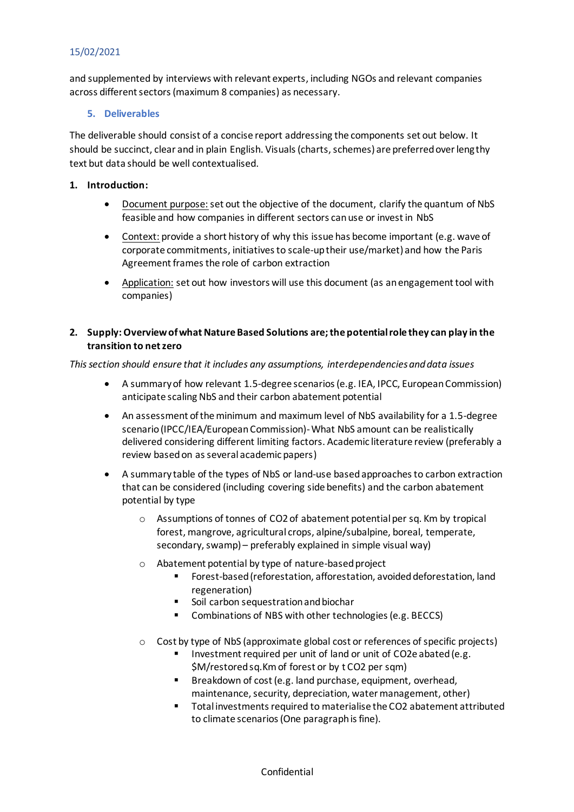# 15/02/2021

and supplemented by interviews with relevant experts, including NGOs and relevant companies across different sectors (maximum 8 companies) as necessary.

### **5. Deliverables**

The deliverable should consist of a concise report addressing the components set out below. It should be succinct, clear and in plain English. Visuals (charts, schemes) are preferred over lengthy text but data should be well contextualised.

## **1. Introduction:**

- Document purpose: set out the objective of the document, clarify the quantum of NbS feasible and how companies in different sectors can use or invest in NbS
- Context: provide a short history of why this issue has become important (e.g. wave of corporate commitments, initiatives to scale-up their use/market) and how the Paris Agreement frames the role of carbon extraction
- Application: set out how investors will use this document (as an engagement tool with companies)

## **2. Supply: Overview of what Nature Based Solutions are;the potential role they can play in the transition to net zero**

*This section should ensure that it includes any assumptions, interdependencies and data issues* 

- A summary of how relevant 1.5-degree scenarios (e.g. IEA, IPCC, European Commission) anticipate scaling NbS and their carbon abatement potential
- An assessment of the minimum and maximum level of NbS availability for a 1.5-degree scenario (IPCC/IEA/European Commission)-What NbS amount can be realistically delivered considering different limiting factors. Academic literature review (preferably a review based on as several academic papers)
- A summary table of the types of NbS or land-use based approaches to carbon extraction that can be considered (including covering side benefits) and the carbon abatement potential by type
	- o Assumptions of tonnes of CO2 of abatement potential per sq. Km by tropical forest, mangrove, agricultural crops, alpine/subalpine, boreal, temperate, secondary, swamp) – preferably explained in simple visual way)
	- o Abatement potential by type of nature-based project
		- Forest-based (reforestation, afforestation, avoided deforestation, land regeneration)
		- Soil carbon sequestration and biochar
		- Combinations of NBS with other technologies (e.g. BECCS)
	- $\circ$  Cost by type of NbS (approximate global cost or references of specific projects)
		- Investment required per unit of land or unit of CO2e abated (e.g. \$M/restored sq.Km of forest or by t CO2 per sqm)
		- Breakdown of cost (e.g. land purchase, equipment, overhead, maintenance, security, depreciation, water management, other)
		- Total investments required to materialise the CO2 abatement attributed to climate scenarios (One paragraph is fine).

Confidential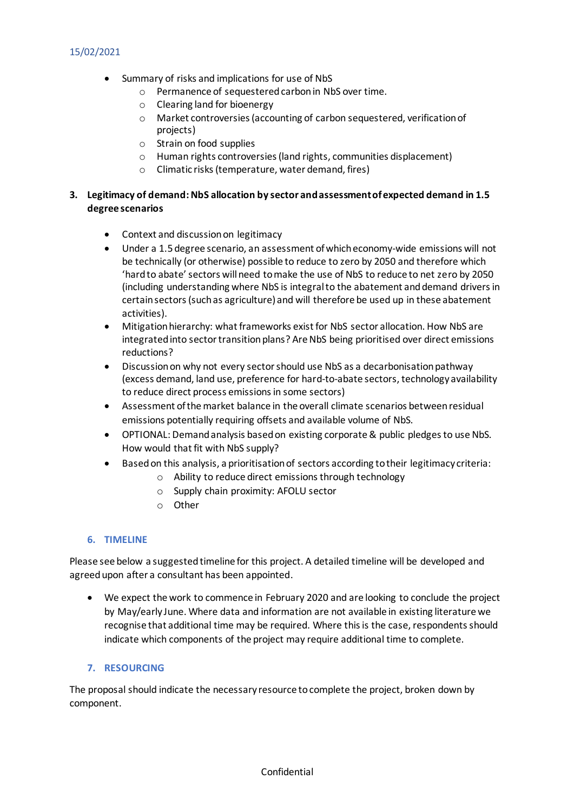# 15/02/2021

- Summary of risks and implications for use of NbS
	- o Permanence of sequestered carbon in NbS over time.
	- o Clearing land for bioenergy
	- o Market controversies (accounting of carbon sequestered, verification of projects)
	- o Strain on food supplies
	- o Human rights controversies (land rights, communities displacement)
	- o Climatic risks (temperature, water demand, fires)

#### **3. Legitimacy of demand: NbS allocation by sector and assessment of expected demand in 1.5 degree scenarios**

- Context and discussion on legitimacy
- Under a 1.5 degree scenario, an assessment of which economy-wide emissions will not be technically (or otherwise) possible to reduce to zero by 2050 and therefore which 'hard to abate' sectors will need to make the use of NbS to reduce to net zero by 2050 (including understanding where NbS is integral to the abatement and demand drivers in certain sectors (such as agriculture) and will therefore be used up in these abatement activities).
- Mitigation hierarchy: what frameworks exist for NbS sector allocation. How NbS are integrated into sector transition plans? Are NbS being prioritised over direct emissions reductions?
- Discussion on why not every sector should use NbS as a decarbonisation pathway (excess demand, land use, preference for hard-to-abate sectors, technology availability to reduce direct process emissions in some sectors)
- Assessment of the market balance in the overall climate scenarios between residual emissions potentially requiring offsets and available volume of NbS.
- OPTIONAL: Demand analysis based on existing corporate & public pledges to use NbS. How would that fit with NbS supply?
- Based on this analysis, a prioritisation of sectors according to their legitimacy criteria:
	- o Ability to reduce direct emissions through technology
	- o Supply chain proximity: AFOLU sector
	- o Other

## **6. TIMELINE**

Please see below a suggested timeline for this project. A detailed timeline will be developed and agreed upon after a consultant has been appointed.

• We expect the work to commence in February 2020 and are looking to conclude the project by May/early June. Where data and information are not available in existing literature we recognise that additional time may be required. Where this is the case, respondents should indicate which components of the project may require additional time to complete.

## **7. RESOURCING**

The proposal should indicate the necessary resource to complete the project, broken down by component.